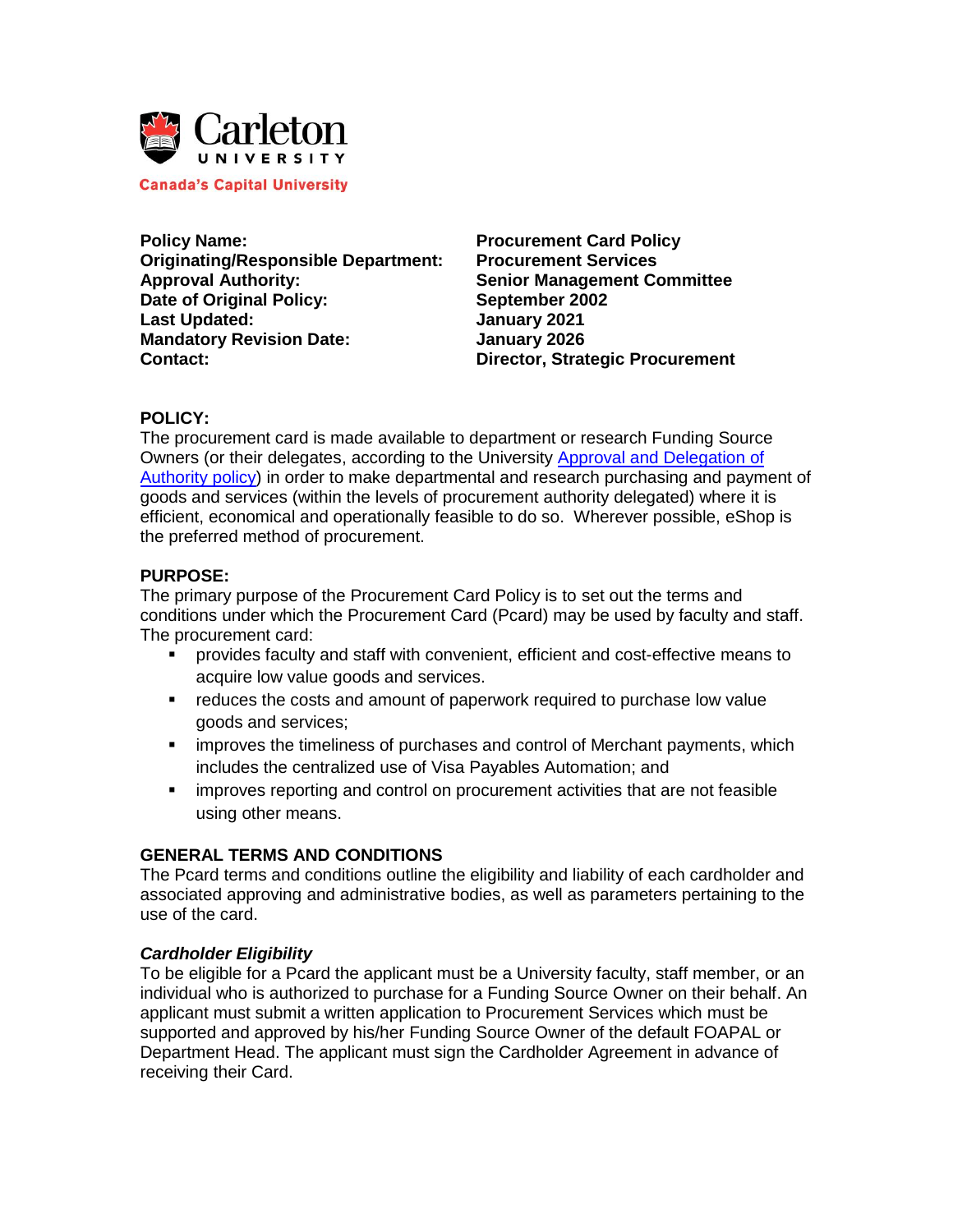

**Canada's Capital University** 

**Policy Name: Procurement Card Policy Originating/Responsible Department: Procurement Services Approval Authority: Senior Management Committee Date of Original Policy: September 2002 Last Updated: January 2021 Mandatory Revision Date:** January 2026 **Contact: Director, Strategic Procurement** 

#### **POLICY:**

The procurement card is made available to department or research Funding Source Owners (or their delegates, according to the University [Approval and Delegation of](https://carleton.ca/secretariat/wp-content/uploads/Approval-and-Delegation-of-Authority.pdf)  [Authority policy\)](https://carleton.ca/secretariat/wp-content/uploads/Approval-and-Delegation-of-Authority.pdf) in order to make departmental and research purchasing and payment of goods and services (within the levels of procurement authority delegated) where it is efficient, economical and operationally feasible to do so. Wherever possible, eShop is the preferred method of procurement.

# **PURPOSE:**

The primary purpose of the Procurement Card Policy is to set out the terms and conditions under which the Procurement Card (Pcard) may be used by faculty and staff. The procurement card:

- provides faculty and staff with convenient, efficient and cost-effective means to acquire low value goods and services.
- **•** reduces the costs and amount of paperwork required to purchase low value goods and services;
- **EXED improves the timeliness of purchases and control of Merchant payments, which** includes the centralized use of Visa Payables Automation; and
- **EXED** improves reporting and control on procurement activities that are not feasible using other means.

# **GENERAL TERMS AND CONDITIONS**

The Pcard terms and conditions outline the eligibility and liability of each cardholder and associated approving and administrative bodies, as well as parameters pertaining to the use of the card.

#### *Cardholder Eligibility*

To be eligible for a Pcard the applicant must be a University faculty, staff member, or an individual who is authorized to purchase for a Funding Source Owner on their behalf. An applicant must submit a written application to Procurement Services which must be supported and approved by his/her Funding Source Owner of the default FOAPAL or Department Head. The applicant must sign the Cardholder Agreement in advance of receiving their Card.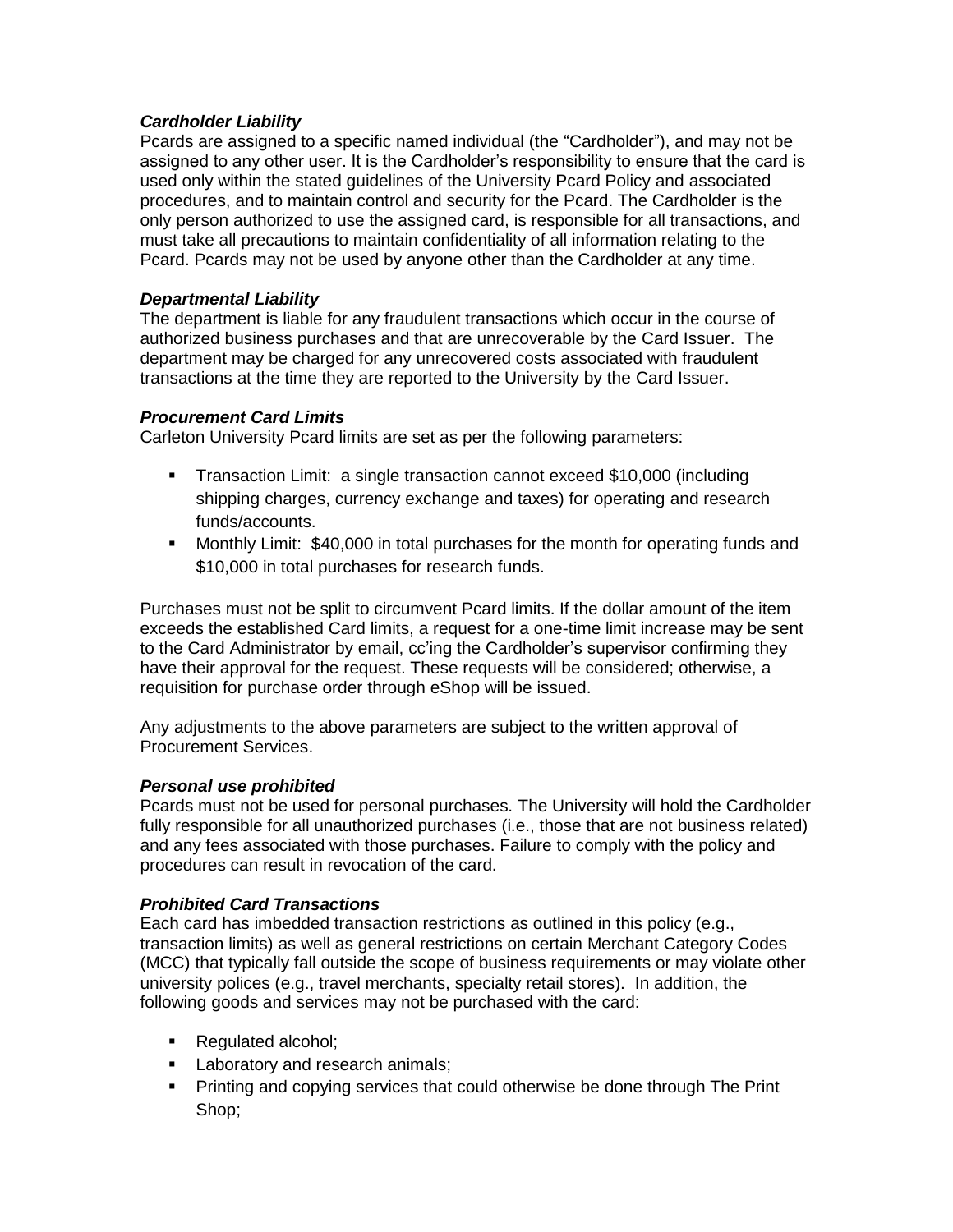# *Cardholder Liability*

Pcards are assigned to a specific named individual (the "Cardholder"), and may not be assigned to any other user. It is the Cardholder's responsibility to ensure that the card is used only within the stated guidelines of the University Pcard Policy and associated procedures, and to maintain control and security for the Pcard. The Cardholder is the only person authorized to use the assigned card, is responsible for all transactions, and must take all precautions to maintain confidentiality of all information relating to the Pcard. Pcards may not be used by anyone other than the Cardholder at any time.

### *Departmental Liability*

The department is liable for any fraudulent transactions which occur in the course of authorized business purchases and that are unrecoverable by the Card Issuer. The department may be charged for any unrecovered costs associated with fraudulent transactions at the time they are reported to the University by the Card Issuer.

### *Procurement Card Limits*

Carleton University Pcard limits are set as per the following parameters:

- Transaction Limit: a single transaction cannot exceed \$10,000 (including shipping charges, currency exchange and taxes) for operating and research funds/accounts.
- Monthly Limit: \$40,000 in total purchases for the month for operating funds and \$10,000 in total purchases for research funds.

Purchases must not be split to circumvent Pcard limits. If the dollar amount of the item exceeds the established Card limits, a request for a one-time limit increase may be sent to the Card Administrator by email, cc'ing the Cardholder's supervisor confirming they have their approval for the request. These requests will be considered; otherwise, a requisition for purchase order through eShop will be issued.

Any adjustments to the above parameters are subject to the written approval of Procurement Services.

# *Personal use prohibited*

Pcards must not be used for personal purchases. The University will hold the Cardholder fully responsible for all unauthorized purchases (i.e., those that are not business related) and any fees associated with those purchases. Failure to comply with the policy and procedures can result in revocation of the card.

# *Prohibited Card Transactions*

Each card has imbedded transaction restrictions as outlined in this policy (e.g., transaction limits) as well as general restrictions on certain Merchant Category Codes (MCC) that typically fall outside the scope of business requirements or may violate other university polices (e.g., travel merchants, specialty retail stores). In addition, the following goods and services may not be purchased with the card:

- Regulated alcohol;
- **Laboratory and research animals;**
- Printing and copying services that could otherwise be done through The Print Shop;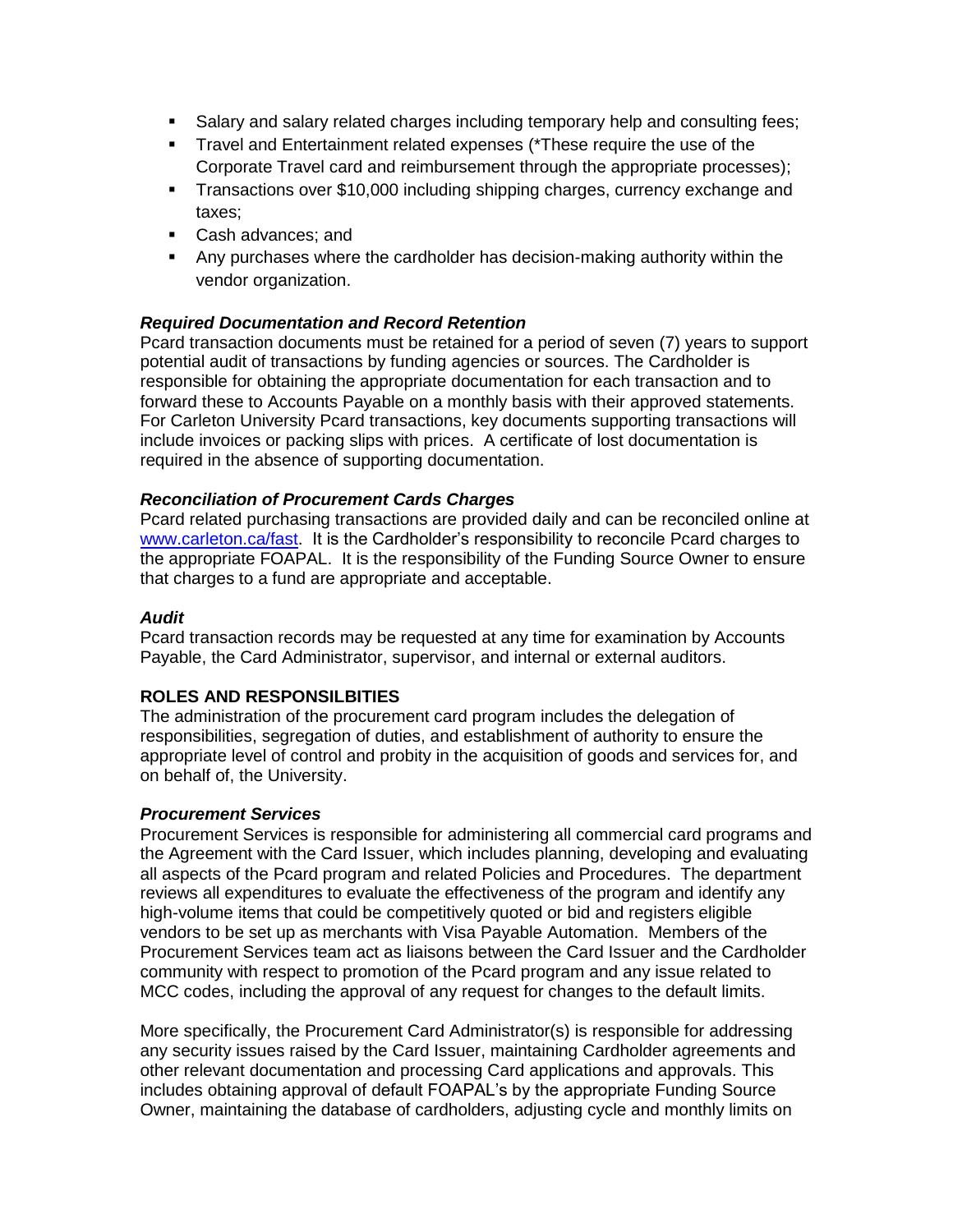- Salary and salary related charges including temporary help and consulting fees;
- **Travel and Entertainment related expenses (\*These require the use of the** Corporate Travel card and reimbursement through the appropriate processes);
- Transactions over \$10,000 including shipping charges, currency exchange and taxes;
- Cash advances; and
- Any purchases where the cardholder has decision-making authority within the vendor organization.

### *Required Documentation and Record Retention*

Pcard transaction documents must be retained for a period of seven (7) years to support potential audit of transactions by funding agencies or sources. The Cardholder is responsible for obtaining the appropriate documentation for each transaction and to forward these to Accounts Payable on a monthly basis with their approved statements. For Carleton University Pcard transactions, key documents supporting transactions will include invoices or packing slips with prices. A certificate of lost documentation is required in the absence of supporting documentation.

#### *Reconciliation of Procurement Cards Charges*

Pcard related purchasing transactions are provided daily and can be reconciled online at [www.carleton.ca/fast.](http://www.carleton.ca/fast) It is the Cardholder's responsibility to reconcile Pcard charges to the appropriate FOAPAL. It is the responsibility of the Funding Source Owner to ensure that charges to a fund are appropriate and acceptable.

#### *Audit*

Pcard transaction records may be requested at any time for examination by Accounts Payable, the Card Administrator, supervisor, and internal or external auditors.

# **ROLES AND RESPONSILBITIES**

The administration of the procurement card program includes the delegation of responsibilities, segregation of duties, and establishment of authority to ensure the appropriate level of control and probity in the acquisition of goods and services for, and on behalf of, the University.

#### *Procurement Services*

Procurement Services is responsible for administering all commercial card programs and the Agreement with the Card Issuer, which includes planning, developing and evaluating all aspects of the Pcard program and related Policies and Procedures. The department reviews all expenditures to evaluate the effectiveness of the program and identify any high-volume items that could be competitively quoted or bid and registers eligible vendors to be set up as merchants with Visa Payable Automation. Members of the Procurement Services team act as liaisons between the Card Issuer and the Cardholder community with respect to promotion of the Pcard program and any issue related to MCC codes, including the approval of any request for changes to the default limits.

More specifically, the Procurement Card Administrator(s) is responsible for addressing any security issues raised by the Card Issuer, maintaining Cardholder agreements and other relevant documentation and processing Card applications and approvals. This includes obtaining approval of default FOAPAL's by the appropriate Funding Source Owner, maintaining the database of cardholders, adjusting cycle and monthly limits on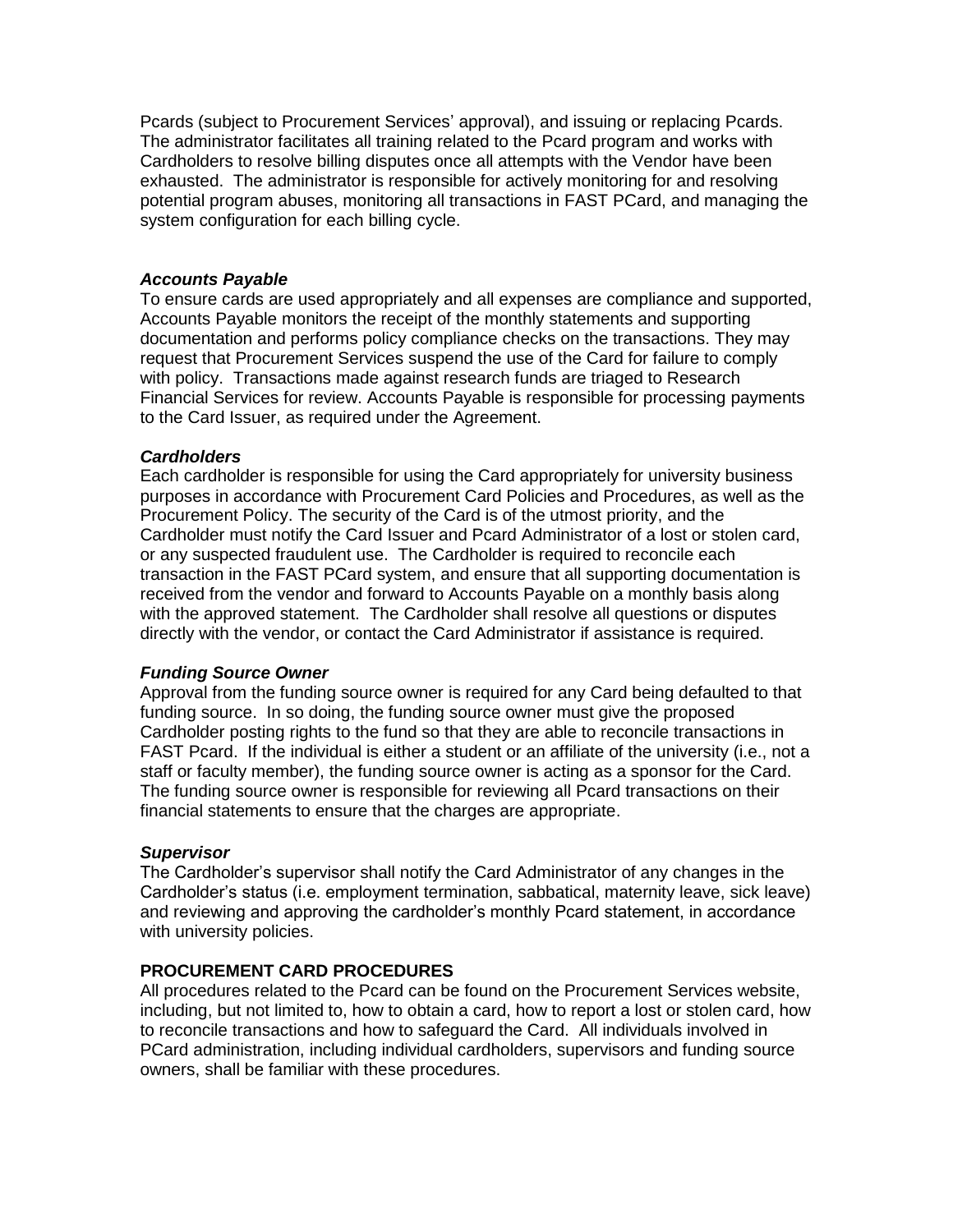Pcards (subject to Procurement Services' approval), and issuing or replacing Pcards. The administrator facilitates all training related to the Pcard program and works with Cardholders to resolve billing disputes once all attempts with the Vendor have been exhausted. The administrator is responsible for actively monitoring for and resolving potential program abuses, monitoring all transactions in FAST PCard, and managing the system configuration for each billing cycle.

### *Accounts Payable*

To ensure cards are used appropriately and all expenses are compliance and supported, Accounts Payable monitors the receipt of the monthly statements and supporting documentation and performs policy compliance checks on the transactions. They may request that Procurement Services suspend the use of the Card for failure to comply with policy. Transactions made against research funds are triaged to Research Financial Services for review. Accounts Payable is responsible for processing payments to the Card Issuer, as required under the Agreement.

#### *Cardholders*

Each cardholder is responsible for using the Card appropriately for university business purposes in accordance with Procurement Card Policies and Procedures, as well as the Procurement Policy. The security of the Card is of the utmost priority, and the Cardholder must notify the Card Issuer and Pcard Administrator of a lost or stolen card, or any suspected fraudulent use. The Cardholder is required to reconcile each transaction in the FAST PCard system, and ensure that all supporting documentation is received from the vendor and forward to Accounts Payable on a monthly basis along with the approved statement. The Cardholder shall resolve all questions or disputes directly with the vendor, or contact the Card Administrator if assistance is required.

# *Funding Source Owner*

Approval from the funding source owner is required for any Card being defaulted to that funding source. In so doing, the funding source owner must give the proposed Cardholder posting rights to the fund so that they are able to reconcile transactions in FAST Pcard. If the individual is either a student or an affiliate of the university (i.e., not a staff or faculty member), the funding source owner is acting as a sponsor for the Card. The funding source owner is responsible for reviewing all Pcard transactions on their financial statements to ensure that the charges are appropriate.

# *Supervisor*

The Cardholder's supervisor shall notify the Card Administrator of any changes in the Cardholder's status (i.e. employment termination, sabbatical, maternity leave, sick leave) and reviewing and approving the cardholder's monthly Pcard statement, in accordance with university policies.

# **PROCUREMENT CARD PROCEDURES**

All procedures related to the Pcard can be found on the Procurement Services website, including, but not limited to, how to obtain a card, how to report a lost or stolen card, how to reconcile transactions and how to safeguard the Card. All individuals involved in PCard administration, including individual cardholders, supervisors and funding source owners, shall be familiar with these procedures.